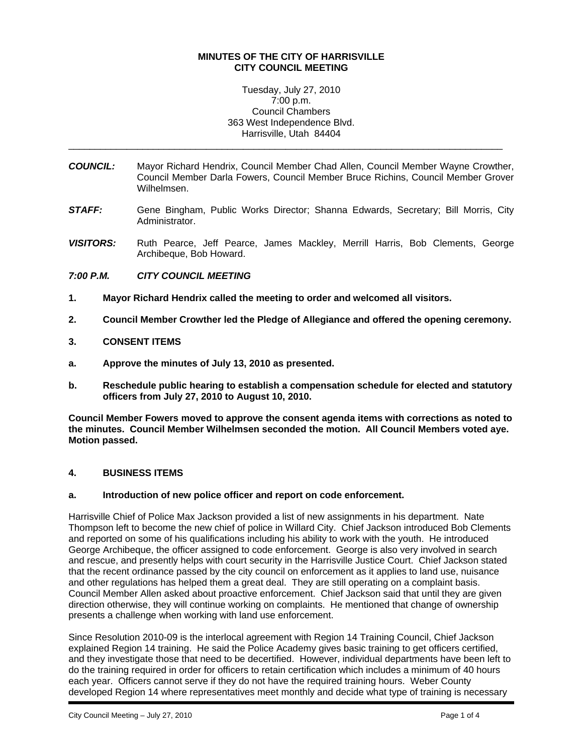#### **MINUTES OF THE CITY OF HARRISVILLE CITY COUNCIL MEETING**

Tuesday, July 27, 2010 7:00 p.m. Council Chambers 363 West Independence Blvd. Harrisville, Utah 84404

\_\_\_\_\_\_\_\_\_\_\_\_\_\_\_\_\_\_\_\_\_\_\_\_\_\_\_\_\_\_\_\_\_\_\_\_\_\_\_\_\_\_\_\_\_\_\_\_\_\_\_\_\_\_\_\_\_\_\_\_\_\_\_\_\_\_\_\_\_\_\_\_\_\_\_\_\_\_\_\_\_\_

- *COUNCIL:* Mayor Richard Hendrix, Council Member Chad Allen, Council Member Wayne Crowther, Council Member Darla Fowers, Council Member Bruce Richins, Council Member Grover Wilhelmsen.
- *STAFF:* Gene Bingham, Public Works Director; Shanna Edwards, Secretary; Bill Morris, City Administrator.
- *VISITORS:* Ruth Pearce, Jeff Pearce, James Mackley, Merrill Harris, Bob Clements, George Archibeque, Bob Howard.

## *7:00 P.M. CITY COUNCIL MEETING*

- **1. Mayor Richard Hendrix called the meeting to order and welcomed all visitors.**
- **2. Council Member Crowther led the Pledge of Allegiance and offered the opening ceremony.**

## **3. CONSENT ITEMS**

- **a. Approve the minutes of July 13, 2010 as presented.**
- **b. Reschedule public hearing to establish a compensation schedule for elected and statutory officers from July 27, 2010 to August 10, 2010.**

**Council Member Fowers moved to approve the consent agenda items with corrections as noted to the minutes. Council Member Wilhelmsen seconded the motion. All Council Members voted aye. Motion passed.** 

#### **4. BUSINESS ITEMS**

#### **a. Introduction of new police officer and report on code enforcement.**

Harrisville Chief of Police Max Jackson provided a list of new assignments in his department. Nate Thompson left to become the new chief of police in Willard City. Chief Jackson introduced Bob Clements and reported on some of his qualifications including his ability to work with the youth. He introduced George Archibeque, the officer assigned to code enforcement. George is also very involved in search and rescue, and presently helps with court security in the Harrisville Justice Court. Chief Jackson stated that the recent ordinance passed by the city council on enforcement as it applies to land use, nuisance and other regulations has helped them a great deal. They are still operating on a complaint basis. Council Member Allen asked about proactive enforcement. Chief Jackson said that until they are given direction otherwise, they will continue working on complaints. He mentioned that change of ownership presents a challenge when working with land use enforcement.

Since Resolution 2010-09 is the interlocal agreement with Region 14 Training Council, Chief Jackson explained Region 14 training. He said the Police Academy gives basic training to get officers certified, and they investigate those that need to be decertified. However, individual departments have been left to do the training required in order for officers to retain certification which includes a minimum of 40 hours each year. Officers cannot serve if they do not have the required training hours. Weber County developed Region 14 where representatives meet monthly and decide what type of training is necessary

i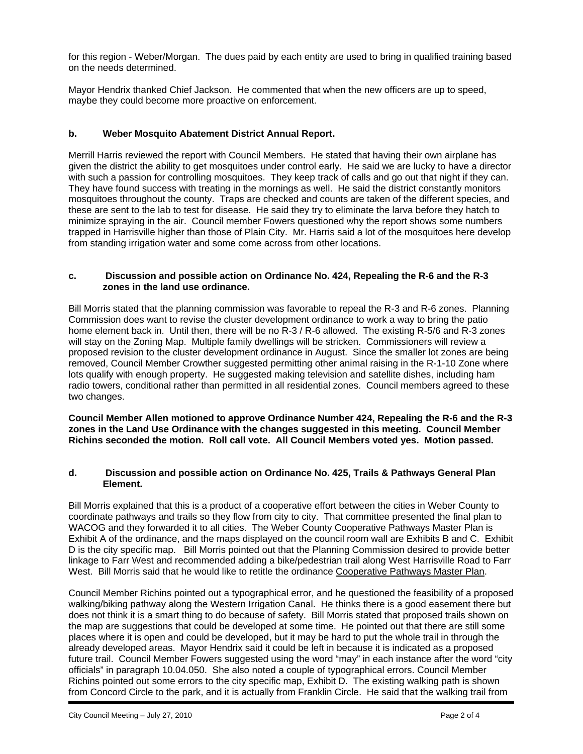for this region - Weber/Morgan. The dues paid by each entity are used to bring in qualified training based on the needs determined.

Mayor Hendrix thanked Chief Jackson. He commented that when the new officers are up to speed, maybe they could become more proactive on enforcement.

# **b. Weber Mosquito Abatement District Annual Report.**

Merrill Harris reviewed the report with Council Members. He stated that having their own airplane has given the district the ability to get mosquitoes under control early. He said we are lucky to have a director with such a passion for controlling mosquitoes. They keep track of calls and go out that night if they can. They have found success with treating in the mornings as well. He said the district constantly monitors mosquitoes throughout the county. Traps are checked and counts are taken of the different species, and these are sent to the lab to test for disease. He said they try to eliminate the larva before they hatch to minimize spraying in the air. Council member Fowers questioned why the report shows some numbers trapped in Harrisville higher than those of Plain City. Mr. Harris said a lot of the mosquitoes here develop from standing irrigation water and some come across from other locations.

## **c. Discussion and possible action on Ordinance No. 424, Repealing the R-6 and the R-3 zones in the land use ordinance.**

Bill Morris stated that the planning commission was favorable to repeal the R-3 and R-6 zones. Planning Commission does want to revise the cluster development ordinance to work a way to bring the patio home element back in. Until then, there will be no R-3 / R-6 allowed. The existing R-5/6 and R-3 zones will stay on the Zoning Map. Multiple family dwellings will be stricken. Commissioners will review a proposed revision to the cluster development ordinance in August. Since the smaller lot zones are being removed, Council Member Crowther suggested permitting other animal raising in the R-1-10 Zone where lots qualify with enough property. He suggested making television and satellite dishes, including ham radio towers, conditional rather than permitted in all residential zones. Council members agreed to these two changes.

**Council Member Allen motioned to approve Ordinance Number 424, Repealing the R-6 and the R-3 zones in the Land Use Ordinance with the changes suggested in this meeting. Council Member Richins seconded the motion. Roll call vote. All Council Members voted yes. Motion passed.** 

#### **d. Discussion and possible action on Ordinance No. 425, Trails & Pathways General Plan Element.**

Bill Morris explained that this is a product of a cooperative effort between the cities in Weber County to coordinate pathways and trails so they flow from city to city. That committee presented the final plan to WACOG and they forwarded it to all cities. The Weber County Cooperative Pathways Master Plan is Exhibit A of the ordinance, and the maps displayed on the council room wall are Exhibits B and C. Exhibit D is the city specific map. Bill Morris pointed out that the Planning Commission desired to provide better linkage to Farr West and recommended adding a bike/pedestrian trail along West Harrisville Road to Farr West. Bill Morris said that he would like to retitle the ordinance Cooperative Pathways Master Plan.

Council Member Richins pointed out a typographical error, and he questioned the feasibility of a proposed walking/biking pathway along the Western Irrigation Canal. He thinks there is a good easement there but does not think it is a smart thing to do because of safety. Bill Morris stated that proposed trails shown on the map are suggestions that could be developed at some time. He pointed out that there are still some places where it is open and could be developed, but it may be hard to put the whole trail in through the already developed areas. Mayor Hendrix said it could be left in because it is indicated as a proposed future trail. Council Member Fowers suggested using the word "may" in each instance after the word "city officials" in paragraph 10.04.050. She also noted a couple of typographical errors. Council Member Richins pointed out some errors to the city specific map, Exhibit D. The existing walking path is shown from Concord Circle to the park, and it is actually from Franklin Circle. He said that the walking trail from

i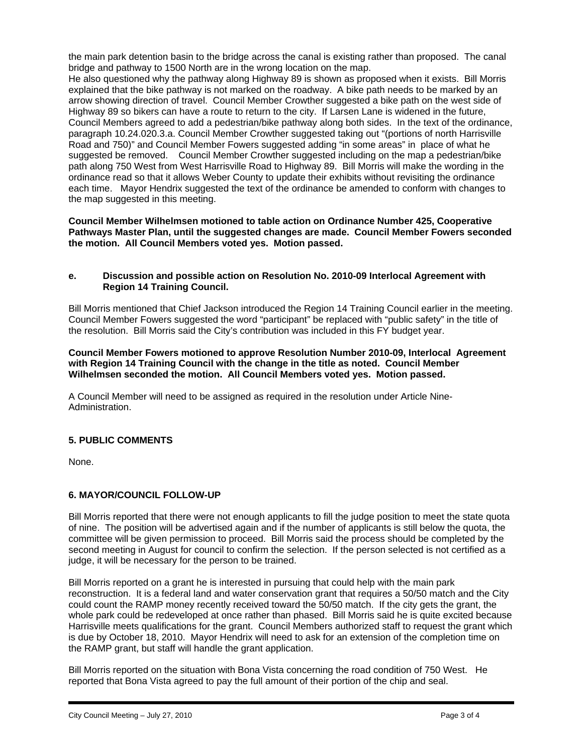the main park detention basin to the bridge across the canal is existing rather than proposed. The canal bridge and pathway to 1500 North are in the wrong location on the map.

He also questioned why the pathway along Highway 89 is shown as proposed when it exists. Bill Morris explained that the bike pathway is not marked on the roadway. A bike path needs to be marked by an arrow showing direction of travel. Council Member Crowther suggested a bike path on the west side of Highway 89 so bikers can have a route to return to the city. If Larsen Lane is widened in the future, Council Members agreed to add a pedestrian/bike pathway along both sides. In the text of the ordinance, paragraph 10.24.020.3.a. Council Member Crowther suggested taking out "(portions of north Harrisville Road and 750)" and Council Member Fowers suggested adding "in some areas" in place of what he suggested be removed. Council Member Crowther suggested including on the map a pedestrian/bike path along 750 West from West Harrisville Road to Highway 89. Bill Morris will make the wording in the ordinance read so that it allows Weber County to update their exhibits without revisiting the ordinance each time. Mayor Hendrix suggested the text of the ordinance be amended to conform with changes to the map suggested in this meeting.

**Council Member Wilhelmsen motioned to table action on Ordinance Number 425, Cooperative Pathways Master Plan, until the suggested changes are made. Council Member Fowers seconded the motion. All Council Members voted yes. Motion passed.** 

#### **e. Discussion and possible action on Resolution No. 2010-09 Interlocal Agreement with Region 14 Training Council.**

Bill Morris mentioned that Chief Jackson introduced the Region 14 Training Council earlier in the meeting. Council Member Fowers suggested the word "participant" be replaced with "public safety" in the title of the resolution. Bill Morris said the City's contribution was included in this FY budget year.

#### **Council Member Fowers motioned to approve Resolution Number 2010-09, Interlocal Agreement with Region 14 Training Council with the change in the title as noted. Council Member Wilhelmsen seconded the motion. All Council Members voted yes. Motion passed.**

A Council Member will need to be assigned as required in the resolution under Article Nine-Administration.

# **5. PUBLIC COMMENTS**

None.

i

# **6. MAYOR/COUNCIL FOLLOW-UP**

Bill Morris reported that there were not enough applicants to fill the judge position to meet the state quota of nine. The position will be advertised again and if the number of applicants is still below the quota, the committee will be given permission to proceed. Bill Morris said the process should be completed by the second meeting in August for council to confirm the selection. If the person selected is not certified as a judge, it will be necessary for the person to be trained.

Bill Morris reported on a grant he is interested in pursuing that could help with the main park reconstruction. It is a federal land and water conservation grant that requires a 50/50 match and the City could count the RAMP money recently received toward the 50/50 match. If the city gets the grant, the whole park could be redeveloped at once rather than phased. Bill Morris said he is quite excited because Harrisville meets qualifications for the grant. Council Members authorized staff to request the grant which is due by October 18, 2010. Mayor Hendrix will need to ask for an extension of the completion time on the RAMP grant, but staff will handle the grant application.

Bill Morris reported on the situation with Bona Vista concerning the road condition of 750 West. He reported that Bona Vista agreed to pay the full amount of their portion of the chip and seal.